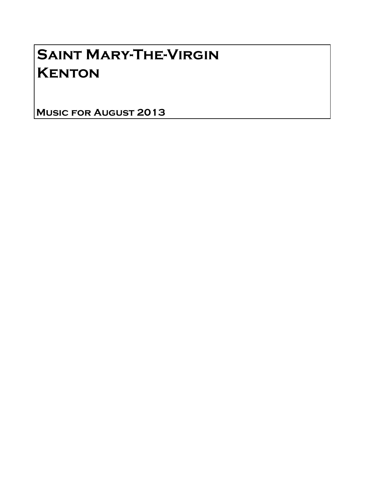# Saint Mary-The-Virgin **KENTON**

Music for August 2013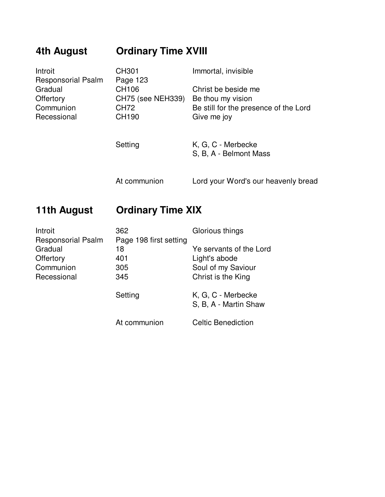| 4th August                           | <b>Ordinary Time XVIII</b> |                                       |
|--------------------------------------|----------------------------|---------------------------------------|
| Introit                              | CH301                      | Immortal, invisible                   |
| <b>Responsorial Psalm</b><br>Gradual | Page 123<br>CH106          | Christ be beside me                   |
| Offertory                            | CH75 (see NEH339)          | Be thou my vision                     |
| Communion                            | CH72                       | Be still for the presence of the Lord |
| Recessional                          | CH190                      | Give me joy                           |
|                                      |                            |                                       |
|                                      | Setting                    | K, G, C - Merbecke                    |
|                                      |                            | S, B, A - Belmont Mass                |
|                                      |                            |                                       |
|                                      | At communion               | Lord your Word's our heavenly bread   |

# **11th August Ordinary Time XIX**

| Introit                   | 362                    | Glorious things                             |
|---------------------------|------------------------|---------------------------------------------|
| <b>Responsorial Psalm</b> | Page 198 first setting |                                             |
| Gradual                   | 18                     | Ye servants of the Lord                     |
| Offertory                 | 401                    | Light's abode                               |
| Communion                 | 305                    | Soul of my Saviour                          |
| Recessional               | 345                    | Christ is the King                          |
|                           | Setting                | K, G, C - Merbecke<br>S, B, A - Martin Shaw |
|                           | At communion           | <b>Celtic Benediction</b>                   |